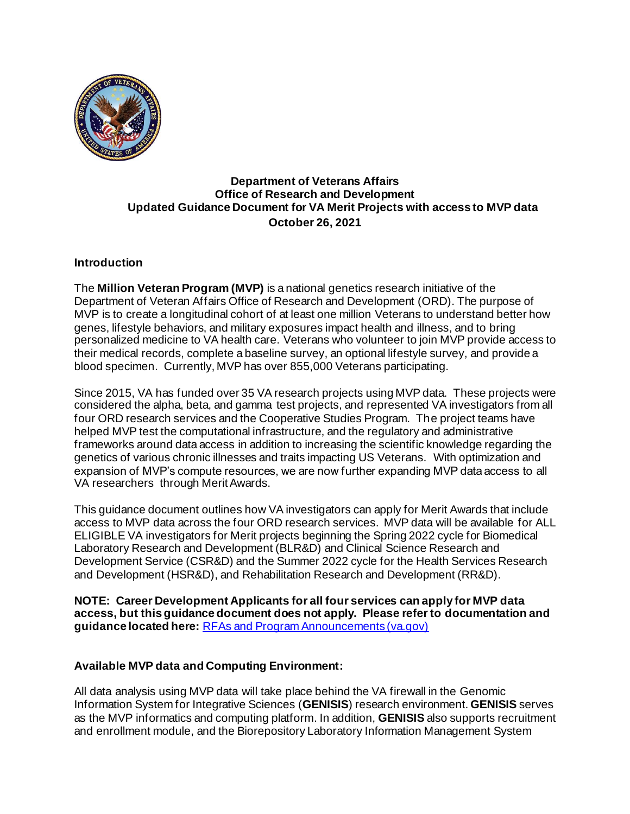

## **Department of Veterans Affairs Office of Research and Development Updated Guidance Document for VA Merit Projects with access to MVP data October 26, 2021**

### **Introduction**

The **Million Veteran Program (MVP)** is a national genetics research initiative of the Department of Veteran Affairs Office of Research and Development (ORD). The purpose of MVP is to create a longitudinal cohort of at least one million Veterans to understand better how genes, lifestyle behaviors, and military exposures impact health and illness, and to bring personalized medicine to VA health care. Veterans who volunteer to join MVP provide access to their medical records, complete a baseline survey, an optional lifestyle survey, and provide a blood specimen. Currently, MVP has over 855,000 Veterans participating.

Since 2015, VA has funded over 35 VA research projects using MVP data. These projects were considered the alpha, beta, and gamma test projects, and represented VA investigators from all four ORD research services and the Cooperative Studies Program. The project teams have helped MVP test the computational infrastructure, and the regulatory and administrative frameworks around data access in addition to increasing the scientific knowledge regarding the genetics of various chronic illnesses and traits impacting US Veterans. With optimization and expansion of MVP's compute resources, we are now further expanding MVP data access to all VA researchers through Merit Awards.

This guidance document outlines how VA investigators can apply for Merit Awards that include access to MVP data across the four ORD research services. MVP data will be available for ALL ELIGIBLE VA investigators for Merit projects beginning the Spring 2022 cycle for Biomedical Laboratory Research and Development (BLR&D) and Clinical Science Research and Development Service (CSR&D) and the Summer 2022 cycle for the Health Services Research and Development (HSR&D), and Rehabilitation Research and Development (RR&D).

**NOTE: Career Development Applicants for all four services can apply for MVP data access, but this guidance document does not apply. Please refer to documentation and guidance located here:** [RFAs and Program Announcements \(va.gov\)](https://vaww.research.va.gov/funding/rfa.cfm#rrd)

# **Available MVP data and Computing Environment:**

All data analysis using MVP data will take place behind the VA firewall in the Genomic Information System for Integrative Sciences (**GENISIS**) research environment. **GENISIS** serves as the MVP informatics and computing platform. In addition, **GENISIS** also supports recruitment and enrollment module, and the Biorepository Laboratory Information Management System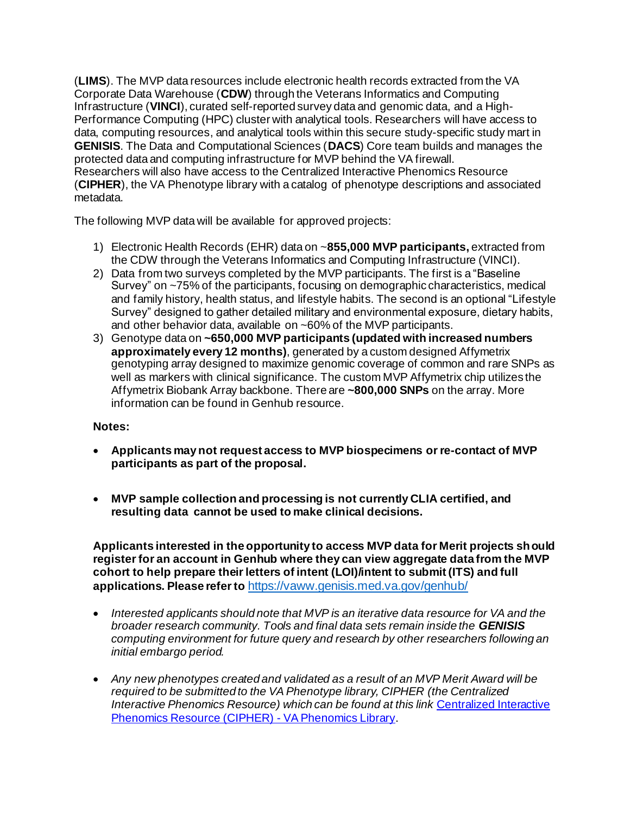(**LIMS**). The MVP data resources include electronic health records extracted from the VA Corporate Data Warehouse (**CDW**) through the Veterans Informatics and Computing Infrastructure (**VINCI**), curated self-reported survey data and genomic data, and a High-Performance Computing (HPC) cluster with analytical tools. Researchers will have access to data, computing resources, and analytical tools within this secure study-specific study mart in **GENISIS**. The Data and Computational Sciences (**DACS**) Core team builds and manages the protected data and computing infrastructure for MVP behind the VA firewall. Researchers will also have access to the Centralized Interactive Phenomics Resource (**CIPHER**), the VA Phenotype library with a catalog of phenotype descriptions and associated metadata.

The following MVP data will be available for approved projects:

- 1) Electronic Health Records (EHR) data on ~**855,000 MVP participants,** extracted from the CDW through the Veterans Informatics and Computing Infrastructure (VINCI).
- 2) Data from two surveys completed by the MVP participants. The first is a "Baseline Survey" on ~75% of the participants, focusing on demographic characteristics, medical and family history, health status, and lifestyle habits. The second is an optional "Lifestyle Survey" designed to gather detailed military and environmental exposure, dietary habits, and other behavior data, available on ~60% of the MVP participants.
- 3) Genotype data on **~650,000 MVP participants (updated with increased numbers approximately every 12 months)**, generated by a custom designed Affymetrix genotyping array designed to maximize genomic coverage of common and rare SNPs as well as markers with clinical significance. The custom MVP Affymetrix chip utilizes the Affymetrix Biobank Array backbone. There are **~800,000 SNPs** on the array. More information can be found in Genhub resource.

### **Notes:**

- **Applicants may not request access to MVP biospecimens orre-contact of MVP participants as part of the proposal.**
- **MVP sample collection and processing is not currently CLIA certified, and resulting data cannot be used to make clinical decisions.**

**Applicants interested in the opportunity to access MVP data for Merit projects should register for an account in Genhub where they can view aggregate data from the MVP cohort to help prepare their letters of intent (LOI)/intent to submit (ITS) and full applications. Please refer to** <https://vaww.genisis.med.va.gov/genhub/>

- *Interested applicants should note that MVP is an iterative data resource for VA and the broader research community. Tools and final data sets remain inside the GENISIS computing environment for future query and research by other researchers following an initial embargo period.*
- *Any new phenotypes created and validated as a result of an MVP Merit Award will be required to be submitted to the VA Phenotype library, CIPHER (the Centralized Interactive Phenomics Resource) which can be found at this link* [Centralized Interactive](https://vhacdwdwhweb100.vha.med.va.gov/phenotype/index.php/Centralized_Interactive_Phenomics_Resource_(CIPHER))  [Phenomics Resource \(CIPHER\) -](https://vhacdwdwhweb100.vha.med.va.gov/phenotype/index.php/Centralized_Interactive_Phenomics_Resource_(CIPHER)) VA Phenomics Library.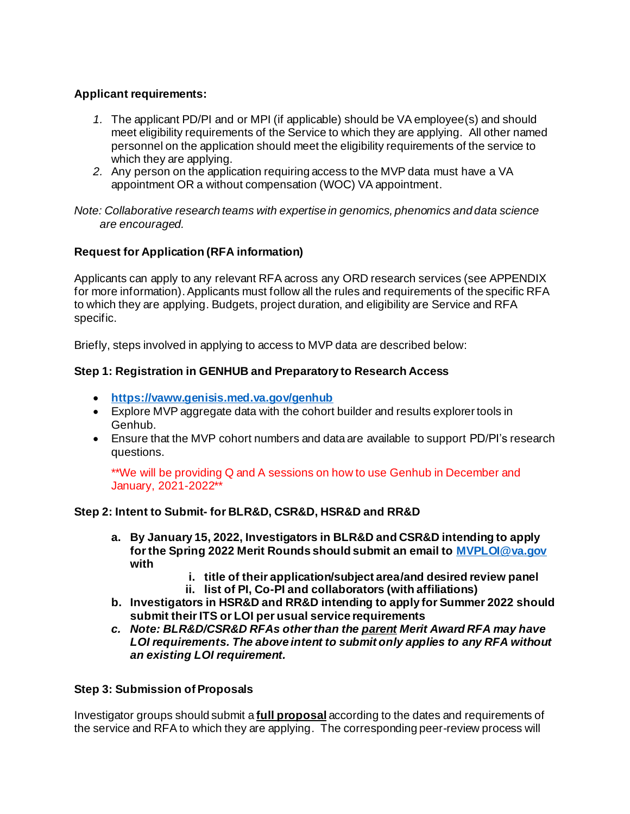# **Applicant requirements:**

- *1.* The applicant PD/PI and or MPI (if applicable) should be VA employee(s) and should meet eligibility requirements of the Service to which they are applying. All other named personnel on the application should meet the eligibility requirements of the service to which they are applying.
- *2.* Any person on the application requiring access to the MVP data must have a VA appointment OR a without compensation (WOC) VA appointment.

*Note: Collaborative research teams with expertise in genomics, phenomics and data science are encouraged.*

# **Request for Application (RFA information)**

Applicants can apply to any relevant RFA across any ORD research services (see APPENDIX for more information). Applicants must follow all the rules and requirements of the specific RFA to which they are applying. Budgets, project duration, and eligibility are Service and RFA specific.

Briefly, steps involved in applying to access to MVP data are described below:

### **Step 1: Registration in GENHUB and Preparatory to Research Access**

- **<https://vaww.genisis.med.va.gov/genhub>**
- Explore MVP aggregate data with the cohort builder and results explorer tools in Genhub.
- Ensure that the MVP cohort numbers and data are available to support PD/PI's research questions.

\*\*We will be providing Q and A sessions on how to use Genhub in December and January, 2021-2022\*\*

### **Step 2: Intent to Submit- for BLR&D, CSR&D, HSR&D and RR&D**

- **a. By January 15, 2022, Investigators in BLR&D and CSR&D intending to apply for the Spring 2022 Merit Rounds should submit an email t[o MVPLOI@va.gov](mailto:MVPLOI@va.gov) with** 
	- **i. title of their application/subject area/and desired review panel**
	- **ii. list of PI, Co-PI and collaborators (with affiliations)**
- **b. Investigators in HSR&D and RR&D intending to apply for Summer 2022 should submit their ITS or LOI per usual service requirements**
- *c. Note: BLR&D/CSR&D RFAs other than the parent Merit Award RFA may have LOI requirements. The above intent to submit only applies to any RFA without an existing LOI requirement.*

### **Step 3: Submission of Proposals**

Investigator groups should submit a **full proposal** according to the dates and requirements of the service and RFA to which they are applying. The corresponding peer-review process will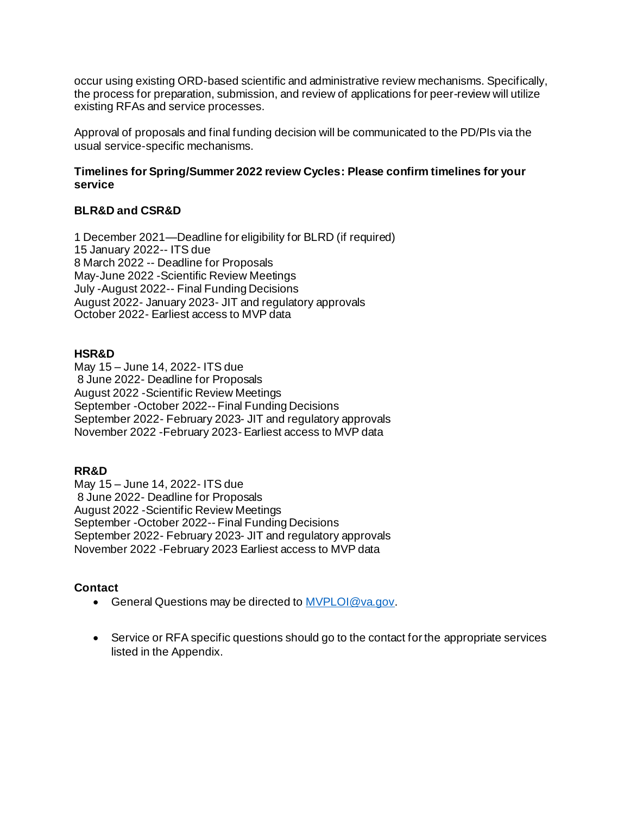occur using existing ORD-based scientific and administrative review mechanisms. Specifically, the process for preparation, submission, and review of applications for peer-review will utilize existing RFAs and service processes.

Approval of proposals and final funding decision will be communicated to the PD/PIs via the usual service-specific mechanisms.

### **Timelines for Spring/Summer 2022 review Cycles: Please confirm timelines for your service**

### **BLR&D and CSR&D**

1 December 2021—Deadline for eligibility for BLRD (if required) 15 January 2022-- ITS due 8 March 2022 -- Deadline for Proposals May-June 2022 -Scientific Review Meetings July -August 2022-- Final Funding Decisions August 2022- January 2023- JIT and regulatory approvals October 2022- Earliest access to MVP data

#### **HSR&D**

May 15 – June 14, 2022- ITS due 8 June 2022- Deadline for Proposals August 2022 -Scientific Review Meetings September -October 2022-- Final Funding Decisions September 2022- February 2023- JIT and regulatory approvals November 2022 -February 2023- Earliest access to MVP data

### **RR&D**

May 15 – June 14, 2022- ITS due 8 June 2022- Deadline for Proposals August 2022 -Scientific Review Meetings September -October 2022-- Final Funding Decisions September 2022- February 2023- JIT and regulatory approvals November 2022 -February 2023 Earliest access to MVP data

### **Contact**

- General Questions may be directed t[o MVPLOI@va.gov.](mailto:MVPLOI@va.gov)
- Service or RFA specific questions should go to the contact for the appropriate services listed in the Appendix.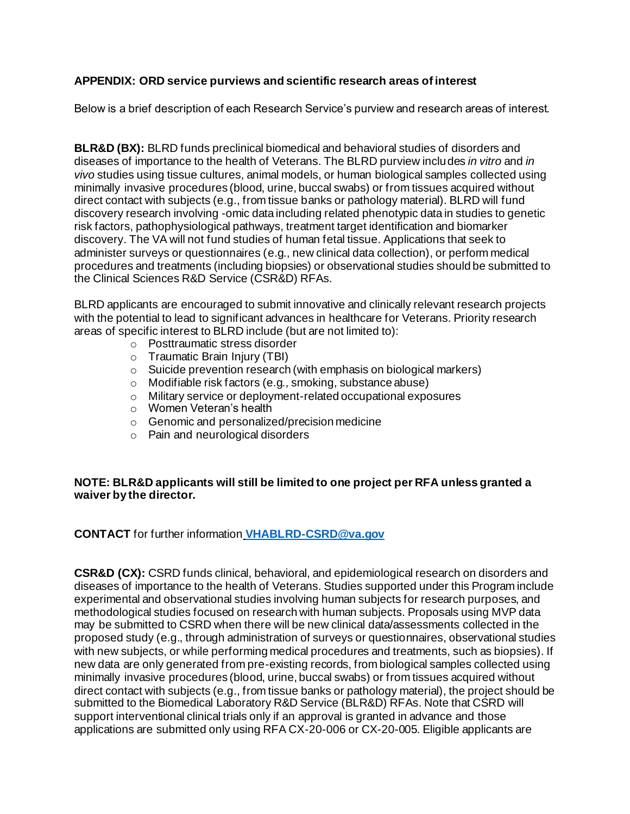## **APPENDIX: ORD service purviews and scientific research areas of interest**

Below is a brief description of each Research Service's purview and research areas of interest.

**BLR&D (BX):** BLRD funds preclinical biomedical and behavioral studies of disorders and diseases of importance to the health of Veterans. The BLRD purview includes *in vitro* and *in vivo* studies using tissue cultures, animal models, or human biological samples collected using minimally invasive procedures (blood, urine, buccal swabs) or from tissues acquired without direct contact with subjects (e.g., from tissue banks or pathology material). BLRD will fund discovery research involving -omic data including related phenotypic data in studies to genetic risk factors, pathophysiological pathways, treatment target identification and biomarker discovery. The VA will not fund studies of human fetal tissue. Applications that seek to administer surveys or questionnaires (e.g., new clinical data collection), or perform medical procedures and treatments (including biopsies) or observational studies should be submitted to the Clinical Sciences R&D Service (CSR&D) RFAs.

BLRD applicants are encouraged to submit innovative and clinically relevant research projects with the potential to lead to significant advances in healthcare for Veterans. Priority research areas of specific interest to BLRD include (but are not limited to):

- o Posttraumatic stress disorder
- o Traumatic Brain Injury (TBI)
- o Suicide prevention research (with emphasis on biological markers)
- o Modifiable risk factors (e.g., smoking, substance abuse)
- o Military service or deployment-related occupational exposures
- o Women Veteran's health
- o Genomic and personalized/precision medicine
- o Pain and neurological disorders

#### **NOTE: BLR&D applicants will still be limited to one project per RFA unless granted a waiver by the director.**

**CONTACT** for further information **[VHABLRD-CSRD@va.gov](mailto:VHABLRD-CSRD@va.gov)**

**CSR&D (CX):** CSRD funds clinical, behavioral, and epidemiological research on disorders and diseases of importance to the health of Veterans. Studies supported under this Program include experimental and observational studies involving human subjects for research purposes, and methodological studies focused on research with human subjects. Proposals using MVP data may be submitted to CSRD when there will be new clinical data/assessments collected in the proposed study (e.g., through administration of surveys or questionnaires, observational studies with new subjects, or while performing medical procedures and treatments, such as biopsies). If new data are only generated from pre-existing records, from biological samples collected using minimally invasive procedures (blood, urine, buccal swabs) or from tissues acquired without direct contact with subjects (e.g., from tissue banks or pathology material), the project should be submitted to the Biomedical Laboratory R&D Service (BLR&D) RFAs. Note that CSRD will support interventional clinical trials only if an approval is granted in advance and those applications are submitted only using RFA CX-20-006 or CX-20-005. Eligible applicants are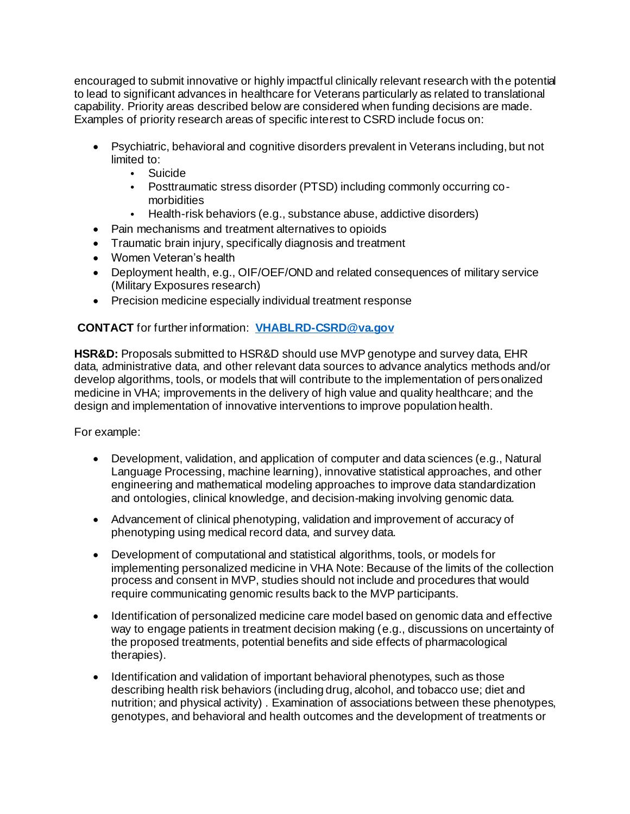encouraged to submit innovative or highly impactful clinically relevant research with the potential to lead to significant advances in healthcare for Veterans particularly as related to translational capability. Priority areas described below are considered when funding decisions are made. Examples of priority research areas of specific interest to CSRD include focus on:

- Psychiatric, behavioral and cognitive disorders prevalent in Veterans including, but not limited to:
	- Suicide
	- Posttraumatic stress disorder (PTSD) including commonly occurring comorbidities
	- Health-risk behaviors (e.g., substance abuse, addictive disorders)
- Pain mechanisms and treatment alternatives to opioids
- Traumatic brain injury, specifically diagnosis and treatment
- Women Veteran's health
- Deployment health, e.g., OIF/OEF/OND and related consequences of military service (Military Exposures research)
- Precision medicine especially individual treatment response

# **CONTACT** for further information: **[VHABLRD-CSRD@va.gov](mailto:VHABLRD-CSRD@va.gov)**

**HSR&D:** Proposals submitted to HSR&D should use MVP genotype and survey data, EHR data, administrative data, and other relevant data sources to advance analytics methods and/or develop algorithms, tools, or models that will contribute to the implementation of personalized medicine in VHA; improvements in the delivery of high value and quality healthcare; and the design and implementation of innovative interventions to improve population health.

For example:

- Development, validation, and application of computer and data sciences (e.g., Natural Language Processing, machine learning), innovative statistical approaches, and other engineering and mathematical modeling approaches to improve data standardization and ontologies, clinical knowledge, and decision-making involving genomic data.
- Advancement of clinical phenotyping, validation and improvement of accuracy of phenotyping using medical record data, and survey data.
- Development of computational and statistical algorithms, tools, or models for implementing personalized medicine in VHA Note: Because of the limits of the collection process and consent in MVP, studies should not include and procedures that would require communicating genomic results back to the MVP participants.
- Identification of personalized medicine care model based on genomic data and effective way to engage patients in treatment decision making (e.g., discussions on uncertainty of the proposed treatments, potential benefits and side effects of pharmacological therapies).
- Identification and validation of important behavioral phenotypes, such as those describing health risk behaviors (including drug, alcohol, and tobacco use; diet and nutrition; and physical activity) . Examination of associations between these phenotypes, genotypes, and behavioral and health outcomes and the development of treatments or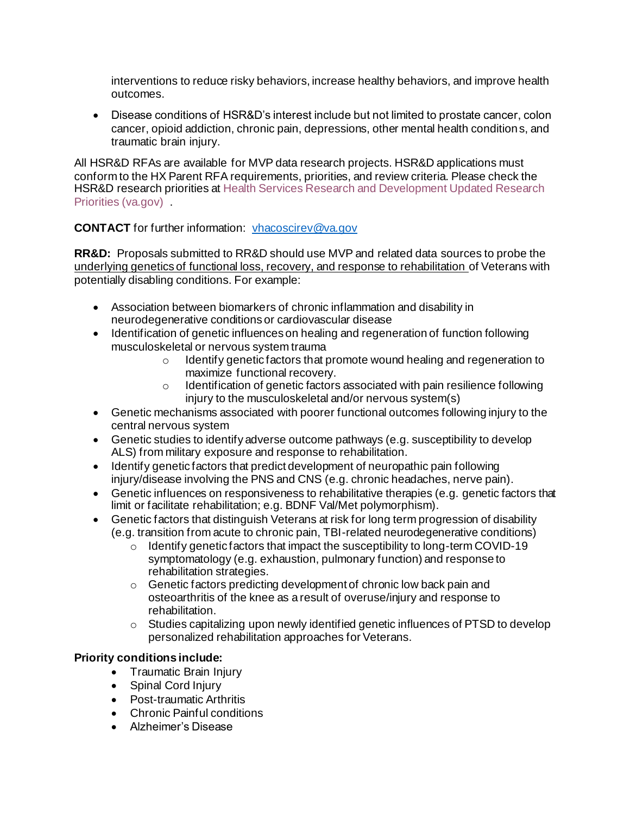interventions to reduce risky behaviors, increase healthy behaviors, and improve health outcomes.

• Disease conditions of HSR&D's interest include but not limited to prostate cancer, colon cancer, opioid addiction, chronic pain, depressions, other mental health conditions, and traumatic brain injury.

All HSR&D RFAs are available for MVP data research projects. HSR&D applications must conform to the HX Parent RFA requirements, priorities, and review criteria. Please check the HSR&D research priorities at Health Services Research and Development Updated Research Priorities (va.gov) .

### **CONTACT** for further information: [vhacoscirev@va.gov](mailto:vhacoscirev@va.gov)

**RR&D:** Proposals submitted to RR&D should use MVP and related data sources to probe the underlying genetics of functional loss, recovery, and response to rehabilitation of Veterans with potentially disabling conditions. For example:

- Association between biomarkers of chronic inflammation and disability in neurodegenerative conditions or cardiovascular disease
- Identification of genetic influences on healing and regeneration of function following musculoskeletal or nervous system trauma
	- o Identify genetic factors that promote wound healing and regeneration to maximize functional recovery.
	- o Identification of genetic factors associated with pain resilience following injury to the musculoskeletal and/or nervous system(s)
- Genetic mechanisms associated with poorer functional outcomes following injury to the central nervous system
- Genetic studies to identify adverse outcome pathways (e.g. susceptibility to develop ALS) from military exposure and response to rehabilitation.
- Identify genetic factors that predict development of neuropathic pain following injury/disease involving the PNS and CNS (e.g. chronic headaches, nerve pain).
- Genetic influences on responsiveness to rehabilitative therapies (e.g. genetic factors that limit or facilitate rehabilitation; e.g. BDNF Val/Met polymorphism).
- Genetic factors that distinguish Veterans at risk for long term progression of disability (e.g. transition from acute to chronic pain, TBI-related neurodegenerative conditions)
	- $\circ$  Identify genetic factors that impact the susceptibility to long-term COVID-19 symptomatology (e.g. exhaustion, pulmonary function) and response to rehabilitation strategies.
	- o Genetic factors predicting development of chronic low back pain and osteoarthritis of the knee as a result of overuse/injury and response to rehabilitation.
	- $\circ$  Studies capitalizing upon newly identified genetic influences of PTSD to develop personalized rehabilitation approaches for Veterans.

# **Priority conditions include:**

- Traumatic Brain Injury
- Spinal Cord Injury
- Post-traumatic Arthritis
- Chronic Painful conditions
- Alzheimer's Disease